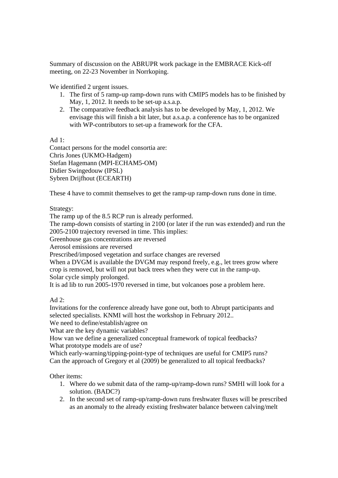Summary of discussion on the ABRUPR work package in the EMBRACE Kick-off meeting, on 22-23 November in Norrkoping.

We identified 2 urgent issues.

- 1. The first of 5 ramp-up ramp-down runs with CMIP5 models has to be finished by May, 1, 2012. It needs to be set-up a.s.a.p.
- 2. The comparative feedback analysis has to be developed by May, 1, 2012. We envisage this will finish a bit later, but a.s.a.p. a conference has to be organized with WP-contributors to set-up a framework for the CFA.

Ad 1:

Contact persons for the model consortia are: Chris Jones (UKMO-Hadgem) Stefan Hagemann (MPI-ECHAM5-OM) Didier Swingedouw (IPSL) Sybren Drijfhout (ECEARTH)

These 4 have to commit themselves to get the ramp-up ramp-down runs done in time.

Strategy:

The ramp up of the 8.5 RCP run is already performed.

The ramp-down consists of starting in 2100 (or later if the run was extended) and run the 2005-2100 trajectory reversed in time. This implies:

Greenhouse gas concentrations are reversed

Aerosol emissions are reversed

Prescribed/imposed vegetation and surface changes are reversed

When a DVGM is available the DVGM may respond freely, e.g., let trees grow where crop is removed, but will not put back trees when they were cut in the ramp-up. Solar cycle simply prolonged.

It is ad lib to run 2005-1970 reversed in time, but volcanoes pose a problem here.

Ad  $2$ :

Invitations for the conference already have gone out, both to Abrupt participants and selected specialists. KNMI will host the workshop in February 2012..

We need to define/establish/agree on

What are the key dynamic variables?

How van we define a generalized conceptual framework of topical feedbacks? What prototype models are of use?

Which early-warning/tipping-point-type of techniques are useful for CMIP5 runs? Can the approach of Gregory et al (2009) be generalized to all topical feedbacks?

Other items:

- 1. Where do we submit data of the ramp-up/ramp-down runs? SMHI will look for a solution. (BADC?)
- 2. In the second set of ramp-up/ramp-down runs freshwater fluxes will be prescribed as an anomaly to the already existing freshwater balance between calving/melt